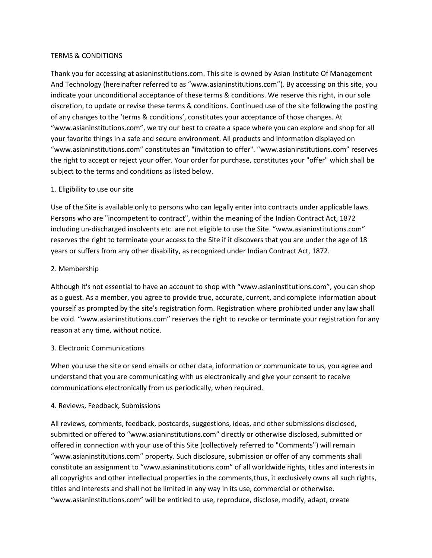### TERMS & CONDITIONS

Thank you for accessing at asianinstitutions.com. This site is owned by Asian Institute Of Management And Technology (hereinafter referred to as "www.asianinstitutions.com"). By accessing on this site, you indicate your unconditional acceptance of these terms & conditions. We reserve this right, in our sole discretion, to update or revise these terms & conditions. Continued use of the site following the posting of any changes to the 'terms & conditions', constitutes your acceptance of those changes. At "www.asianinstitutions.com", we try our best to create a space where you can explore and shop for all your favorite things in a safe and secure environment. All products and information displayed on "www.asianinstitutions.com" constitutes an "invitation to offer". "www.asianinstitutions.com" reserves the right to accept or reject your offer. Your order for purchase, constitutes your "offer" which shall be subject to the terms and conditions as listed below.

# 1. Eligibility to use our site

Use of the Site is available only to persons who can legally enter into contracts under applicable laws. Persons who are "incompetent to contract", within the meaning of the Indian Contract Act, 1872 including un-discharged insolvents etc. are not eligible to use the Site. "www.asianinstitutions.com" reserves the right to terminate your access to the Site if it discovers that you are under the age of 18 years or suffers from any other disability, as recognized under Indian Contract Act, 1872.

### 2. Membership

Although it's not essential to have an account to shop with "www.asianinstitutions.com", you can shop as a guest. As a member, you agree to provide true, accurate, current, and complete information about yourself as prompted by the site's registration form. Registration where prohibited under any law shall be void. "www.asianinstitutions.com" reserves the right to revoke or terminate your registration for any reason at any time, without notice.

# 3. Electronic Communications

When you use the site or send emails or other data, information or communicate to us, you agree and understand that you are communicating with us electronically and give your consent to receive communications electronically from us periodically, when required.

# 4. Reviews, Feedback, Submissions

All reviews, comments, feedback, postcards, suggestions, ideas, and other submissions disclosed, submitted or offered to "www.asianinstitutions.com" directly or otherwise disclosed, submitted or offered in connection with your use of this Site (collectively referred to "Comments") will remain "www.asianinstitutions.com" property. Such disclosure, submission or offer of any comments shall constitute an assignment to "www.asianinstitutions.com" of all worldwide rights, titles and interests in all copyrights and other intellectual properties in the comments,thus, it exclusively owns all such rights, titles and interests and shall not be limited in any way in its use, commercial or otherwise. "www.asianinstitutions.com" will be entitled to use, reproduce, disclose, modify, adapt, create